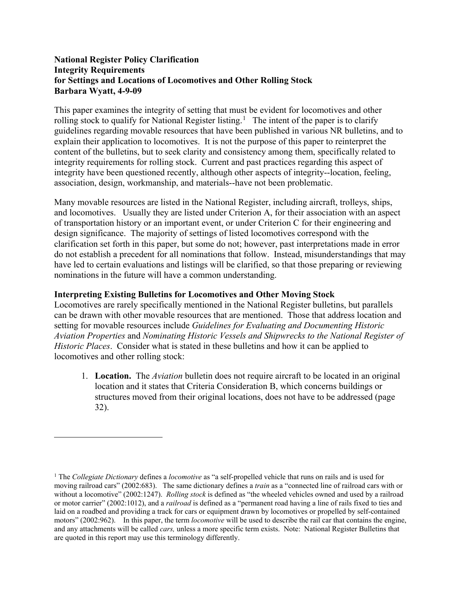## **National Register Policy Clarification Integrity Requirements for Settings and Locations of Locomotives and Other Rolling Stock Barbara Wyatt, 4-9-09**

This paper examines the integrity of setting that must be evident for locomotives and other rolling stock to qualify for National Register listing.<sup>[1](#page-0-0)</sup> The intent of the paper is to clarify guidelines regarding movable resources that have been published in various NR bulletins, and to explain their application to locomotives.It is not the purpose of this paper to reinterpret the content of the bulletins, but to seek clarity and consistency among them, specifically related to integrity requirements for rolling stock. Current and past practices regarding this aspect of integrity have been questioned recently, although other aspects of integrity--location, feeling, association, design, workmanship, and materials--have not been problematic.

Many movable resources are listed in the National Register, including aircraft, trolleys, ships, and locomotives. Usually they are listed under Criterion A, for their association with an aspect of transportation history or an important event, or under Criterion C for their engineering and design significance. The majority of settings of listed locomotives correspond with the clarification set forth in this paper, but some do not; however, past interpretations made in error do not establish a precedent for all nominations that follow. Instead, misunderstandings that may have led to certain evaluations and listings will be clarified, so that those preparing or reviewing nominations in the future will have a common understanding.

# **Interpreting Existing Bulletins for Locomotives and Other Moving Stock**

 $\overline{a}$ 

Locomotives are rarely specifically mentioned in the National Register bulletins, but parallels can be drawn with other movable resources that are mentioned. Those that address location and setting for movable resources include *Guidelines for Evaluating and Documenting Historic Aviation Properties* and *Nominating Historic Vessels and Shipwrecks to the National Register of Historic Places*. Consider what is stated in these bulletins and how it can be applied to locomotives and other rolling stock:

1. **Location.** The *Aviation* bulletin does not require aircraft to be located in an original location and it states that Criteria Consideration B, which concerns buildings or structures moved from their original locations, does not have to be addressed (page 32).

<span id="page-0-0"></span><sup>1</sup> The *Collegiate Dictionary* defines a *locomotive* as "a self-propelled vehicle that runs on rails and is used for moving railroad cars" (2002:683). The same dictionary defines a *train* as a "connected line of railroad cars with or without a locomotive" (2002:1247). *Rolling stock* is defined as "the wheeled vehicles owned and used by a railroad or motor carrier" (2002:1012), and a *railroad* is defined as a "permanent road having a line of rails fixed to ties and laid on a roadbed and providing a track for cars or equipment drawn by locomotives or propelled by self-contained motors" (2002:962). In this paper, the term *locomotive* will be used to describe the rail car that contains the engine, and any attachments will be called *cars,* unless a more specific term exists. Note: National Register Bulletins that are quoted in this report may use this terminology differently.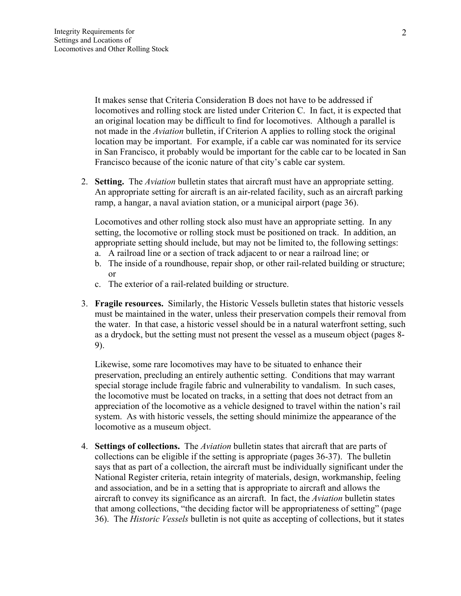It makes sense that Criteria Consideration B does not have to be addressed if locomotives and rolling stock are listed under Criterion C. In fact, it is expected that an original location may be difficult to find for locomotives. Although a parallel is not made in the *Aviation* bulletin, if Criterion A applies to rolling stock the original location may be important. For example, if a cable car was nominated for its service in San Francisco, it probably would be important for the cable car to be located in San Francisco because of the iconic nature of that city's cable car system.

2. **Setting.** The *Aviation* bulletin states that aircraft must have an appropriate setting. An appropriate setting for aircraft is an air-related facility, such as an aircraft parking ramp, a hangar, a naval aviation station, or a municipal airport (page 36).

Locomotives and other rolling stock also must have an appropriate setting. In any setting, the locomotive or rolling stock must be positioned on track. In addition, an appropriate setting should include, but may not be limited to, the following settings:

- a. A railroad line or a section of track adjacent to or near a railroad line; or
- b. The inside of a roundhouse, repair shop, or other rail-related building or structure; or
- c. The exterior of a rail-related building or structure.
- 3. **Fragile resources.** Similarly, the Historic Vessels bulletin states that historic vessels must be maintained in the water, unless their preservation compels their removal from the water. In that case, a historic vessel should be in a natural waterfront setting, such as a drydock, but the setting must not present the vessel as a museum object (pages 8- 9).

Likewise, some rare locomotives may have to be situated to enhance their preservation, precluding an entirely authentic setting. Conditions that may warrant special storage include fragile fabric and vulnerability to vandalism. In such cases, the locomotive must be located on tracks, in a setting that does not detract from an appreciation of the locomotive as a vehicle designed to travel within the nation's rail system. As with historic vessels, the setting should minimize the appearance of the locomotive as a museum object.

4. **Settings of collections.** The *Aviation* bulletin states that aircraft that are parts of collections can be eligible if the setting is appropriate (pages 36-37). The bulletin says that as part of a collection, the aircraft must be individually significant under the National Register criteria, retain integrity of materials, design, workmanship, feeling and association, and be in a setting that is appropriate to aircraft and allows the aircraft to convey its significance as an aircraft. In fact, the *Aviation* bulletin states that among collections, "the deciding factor will be appropriateness of setting" (page 36). The *Historic Vessels* bulletin is not quite as accepting of collections, but it states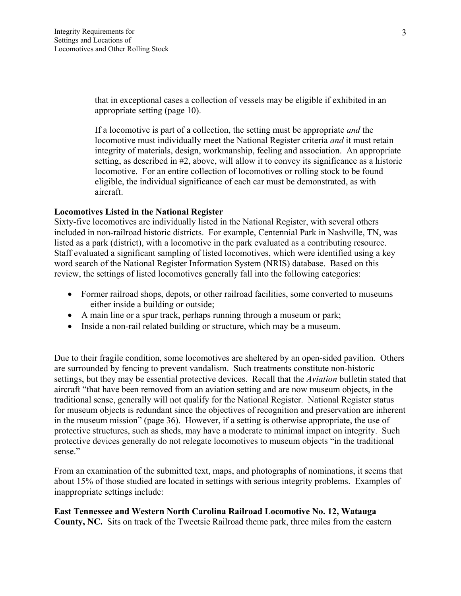that in exceptional cases a collection of vessels may be eligible if exhibited in an appropriate setting (page 10).

If a locomotive is part of a collection, the setting must be appropriate *and* the locomotive must individually meet the National Register criteria *and* it must retain integrity of materials, design, workmanship, feeling and association. An appropriate setting, as described in #2, above, will allow it to convey its significance as a historic locomotive. For an entire collection of locomotives or rolling stock to be found eligible, the individual significance of each car must be demonstrated, as with aircraft.

#### **Locomotives Listed in the National Register**

Sixty-five locomotives are individually listed in the National Register, with several others included in non-railroad historic districts. For example, Centennial Park in Nashville, TN, was listed as a park (district), with a locomotive in the park evaluated as a contributing resource. Staff evaluated a significant sampling of listed locomotives, which were identified using a key word search of the National Register Information System (NRIS) database. Based on this review, the settings of listed locomotives generally fall into the following categories:

- Former railroad shops, depots, or other railroad facilities, some converted to museums —either inside a building or outside;
- A main line or a spur track, perhaps running through a museum or park;
- Inside a non-rail related building or structure, which may be a museum.

Due to their fragile condition, some locomotives are sheltered by an open-sided pavilion. Others are surrounded by fencing to prevent vandalism. Such treatments constitute non-historic settings, but they may be essential protective devices. Recall that the *Aviation* bulletin stated that aircraft "that have been removed from an aviation setting and are now museum objects, in the traditional sense, generally will not qualify for the National Register. National Register status for museum objects is redundant since the objectives of recognition and preservation are inherent in the museum mission" (page 36). However, if a setting is otherwise appropriate, the use of protective structures, such as sheds, may have a moderate to minimal impact on integrity. Such protective devices generally do not relegate locomotives to museum objects "in the traditional sense."

From an examination of the submitted text, maps, and photographs of nominations, it seems that about 15% of those studied are located in settings with serious integrity problems. Examples of inappropriate settings include:

**East Tennessee and Western North Carolina Railroad Locomotive No. 12, Watauga County, NC.** Sits on track of the Tweetsie Railroad theme park, three miles from the eastern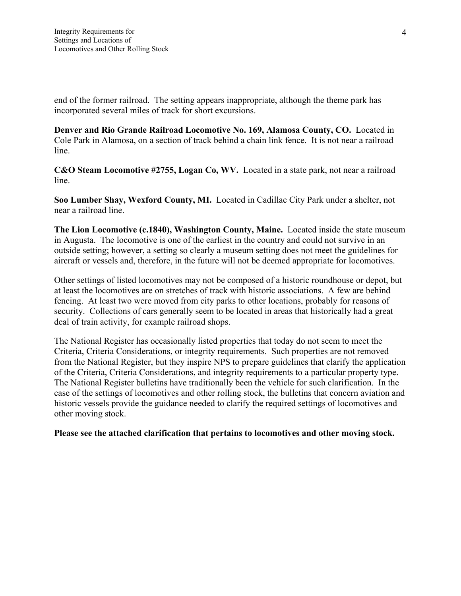end of the former railroad. The setting appears inappropriate, although the theme park has incorporated several miles of track for short excursions.

**Denver and Rio Grande Railroad Locomotive No. 169, Alamosa County, CO.** Located in Cole Park in Alamosa, on a section of track behind a chain link fence. It is not near a railroad line.

**C&O Steam Locomotive #2755, Logan Co, WV.** Located in a state park, not near a railroad line.

**Soo Lumber Shay, Wexford County, MI.** Located in Cadillac City Park under a shelter, not near a railroad line.

**The Lion Locomotive (c.1840), Washington County, Maine.** Located inside the state museum in Augusta. The locomotive is one of the earliest in the country and could not survive in an outside setting; however, a setting so clearly a museum setting does not meet the guidelines for aircraft or vessels and, therefore, in the future will not be deemed appropriate for locomotives.

Other settings of listed locomotives may not be composed of a historic roundhouse or depot, but at least the locomotives are on stretches of track with historic associations. A few are behind fencing. At least two were moved from city parks to other locations, probably for reasons of security. Collections of cars generally seem to be located in areas that historically had a great deal of train activity, for example railroad shops.

The National Register has occasionally listed properties that today do not seem to meet the Criteria, Criteria Considerations, or integrity requirements. Such properties are not removed from the National Register, but they inspire NPS to prepare guidelines that clarify the application of the Criteria, Criteria Considerations, and integrity requirements to a particular property type. The National Register bulletins have traditionally been the vehicle for such clarification. In the case of the settings of locomotives and other rolling stock, the bulletins that concern aviation and historic vessels provide the guidance needed to clarify the required settings of locomotives and other moving stock.

**Please see the attached clarification that pertains to locomotives and other moving stock.**